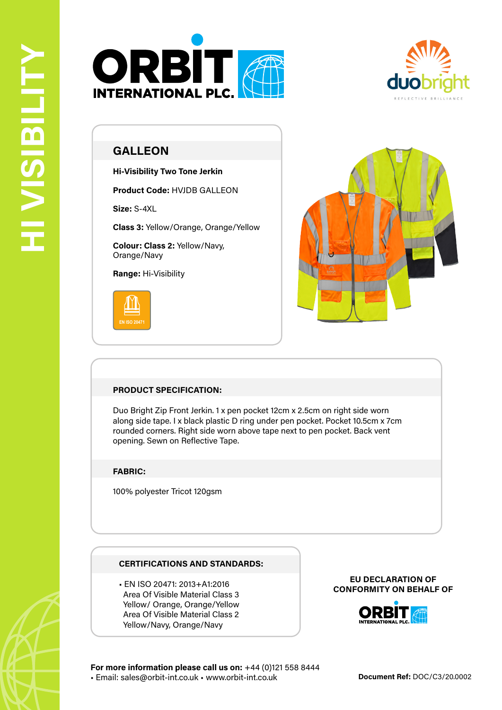



# **GALLEON**

**Hi-Visibility Two Tone Jerkin**

**Product Code:** HVJDB GALLEON

**Size:** S-4XL

**Class 3:** Yellow/Orange, Orange/Yellow

**Colour: Class 2:** Yellow/Navy, Orange/Navy

**Range:** Hi-Visibility





## **PRODUCT SPECIFICATION:**

Duo Bright Zip Front Jerkin. 1 x pen pocket 12cm x 2.5cm on right side worn along side tape. I x black plastic D ring under pen pocket. Pocket 10.5cm x 7cm rounded corners. Right side worn above tape next to pen pocket. Back vent opening. Sewn on Reflective Tape.

### **FABRIC:**

100% polyester Tricot 120gsm

### **CERTIFICATIONS AND STANDARDS:**

• EN ISO 20471: 2013+A1:2016 Area Of Visible Material Class 3 Yellow/ Orange, Orange/Yellow Area Of Visible Material Class 2 Yellow/Navy, Orange/Navy

#### **EU DECLARATION OF CONFORMITY ON BEHALF OF**